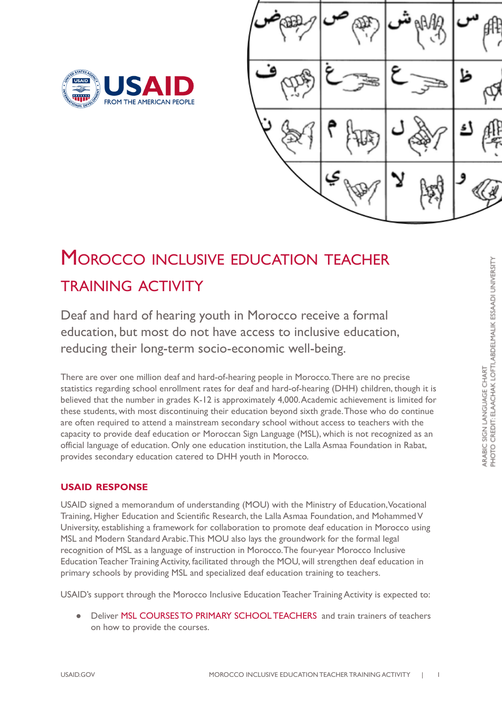



# MOROCCO INCLUSIVE EDUCATION TEACHER TRAINING ACTIVITY

 Deaf and hard of hearing youth in Morocco receive a formal education, but most do not have access to inclusive education, reducing their long-term socio-economic well-being.

 There are over one million deaf and hard-of-hearing people in Morocco.There are no precise statistics regarding school enrollment rates for deaf and hard-of-hearing (DHH) children, though it is believed that the number in grades K-12 is approximately 4,000.Academic achievement is limited for these students, with most discontinuing their education beyond sixth grade.Those who do continue are often required to attend a mainstream secondary school without access to teachers with the capacity to provide deaf education or Moroccan Sign Language (MSL), which is not recognized as an official language of education. Only one education institution, the Lalla Asmaa Foundation in Rabat, provides secondary education catered to DHH youth in Morocco.

# **USAID RESPONSE**

 USAID signed a memorandum of understanding (MOU) with the Ministry of Education,Vocational Training, Higher Education and Scientific Research, the Lalla Asmaa Foundation, and MohammedV University, establishing a framework for collaboration to promote deaf education in Morocco using MSL and Modern Standard Arabic.This MOU also lays the groundwork for the formal legal recognition of MSL as a language of instruction in Morocco.The four-year Morocco Inclusive Education Teacher Training Activity, facilitated through the MOU, will strengthen deaf education in primary schools by providing MSL and specialized deaf education training to teachers.

USAID's support through the Morocco Inclusive Education Teacher Training Activity is expected to:

 ● Deliver MSL COURSES TO PRIMARY SCHOOL TEACHERS and train trainers of teachers on how to provide the courses.